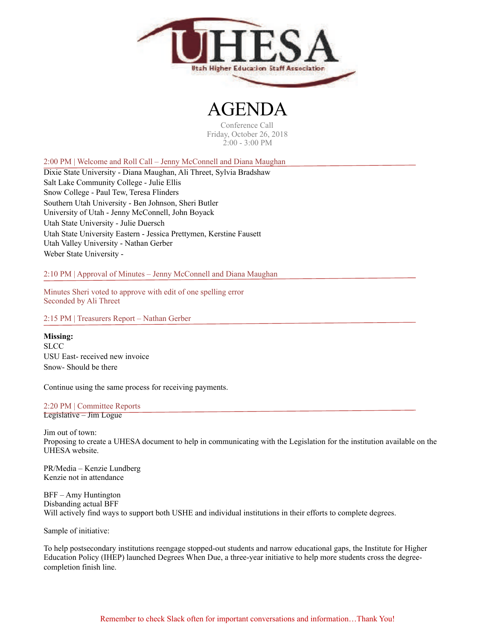

## $\bf H$

Conference Call Friday, October 26, 2018 2:00 - 3:00 PM

2:00 PM | Welcome and Roll Call – Jenny McConnell and Diana Maughan

Dixie State University - Diana Maughan, Ali Threet, Sylvia Bradshaw Salt Lake Community College - Julie Ellis Snow College - Paul Tew, Teresa Flinders Southern Utah University - Ben Johnson, Sheri Butler University of Utah - Jenny McConnell, John Boyack Utah State University - Julie Duersch Utah State University Eastern - Jessica Prettymen, Kerstine Fausett Utah Valley University - Nathan Gerber Weber State University -

2:10 PM | Approval of Minutes – Jenny McConnell and Diana Maughan

Minutes Sheri voted to approve with edit of one spelling error Seconded by Ali Threet

2:15 PM | Treasurers Report – Nathan Gerber

**Missing: SLCC** USU East- received new invoice Snow- Should be there

Continue using the same process for receiving payments.

## 2:20 PM | Committee Reports

Legislative – Jim Logue

Jim out of town: Proposing to create a UHESA document to help in communicating with the Legislation for the institution available on the UHESA website.

PR/Media – Kenzie Lundberg Kenzie not in attendance

BFF – Amy Huntington Disbanding actual BFF Will actively find ways to support both USHE and individual institutions in their efforts to complete degrees.

Sample of initiative:

To help postsecondary institutions reengage stopped-out students and narrow educational gaps, the Institute for Higher Education Policy (IHEP) launched [Degrees When Due](https://t.e2ma.net/click/qifd4/q22o04/2buhsj), a three-year initiative to help more students cross the degreecompletion finish line.